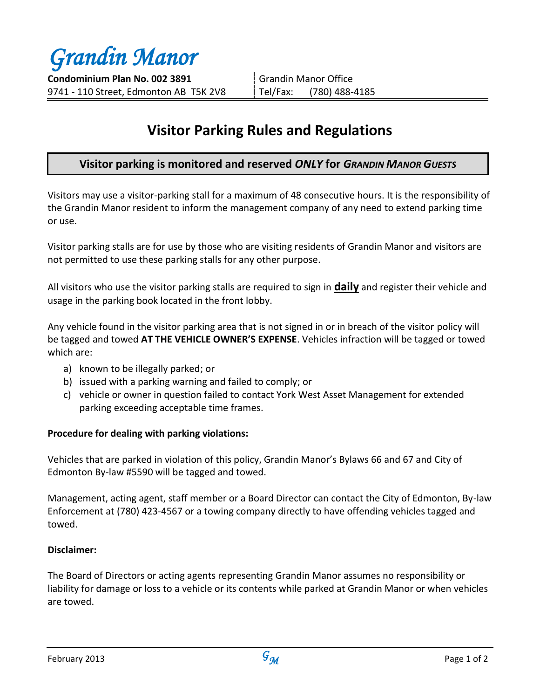*Grandin Manor*

**Condominium Plan No. 002 3891** 9741 - 110 Street, Edmonton AB T5K 2V8 Grandin Manor Office Tel/Fax: (780) 488-4185

# **Visitor Parking Rules and Regulations**

## **Visitor parking is monitored and reserved** *ONLY* **for** *GRANDIN MANOR GUESTS*

Visitors may use a visitor-parking stall for a maximum of 48 consecutive hours. It is the responsibility of the Grandin Manor resident to inform the management company of any need to extend parking time or use.

Visitor parking stalls are for use by those who are visiting residents of Grandin Manor and visitors are not permitted to use these parking stalls for any other purpose.

All visitors who use the visitor parking stalls are required to sign in **daily** and register their vehicle and usage in the parking book located in the front lobby.

Any vehicle found in the visitor parking area that is not signed in or in breach of the visitor policy will be tagged and towed **AT THE VEHICLE OWNER'S EXPENSE**. Vehicles infraction will be tagged or towed which are:

- a) known to be illegally parked; or
- b) issued with a parking warning and failed to comply; or
- c) vehicle or owner in question failed to contact York West Asset Management for extended parking exceeding acceptable time frames.

#### **Procedure for dealing with parking violations:**

Vehicles that are parked in violation of this policy, Grandin Manor's Bylaws 66 and 67 and City of Edmonton By-law #5590 will be tagged and towed.

Management, acting agent, staff member or a Board Director can contact the City of Edmonton, By-law Enforcement at (780) 423-4567 or a towing company directly to have offending vehicles tagged and towed.

#### **Disclaimer:**

The Board of Directors or acting agents representing Grandin Manor assumes no responsibility or liability for damage or loss to a vehicle or its contents while parked at Grandin Manor or when vehicles are towed.